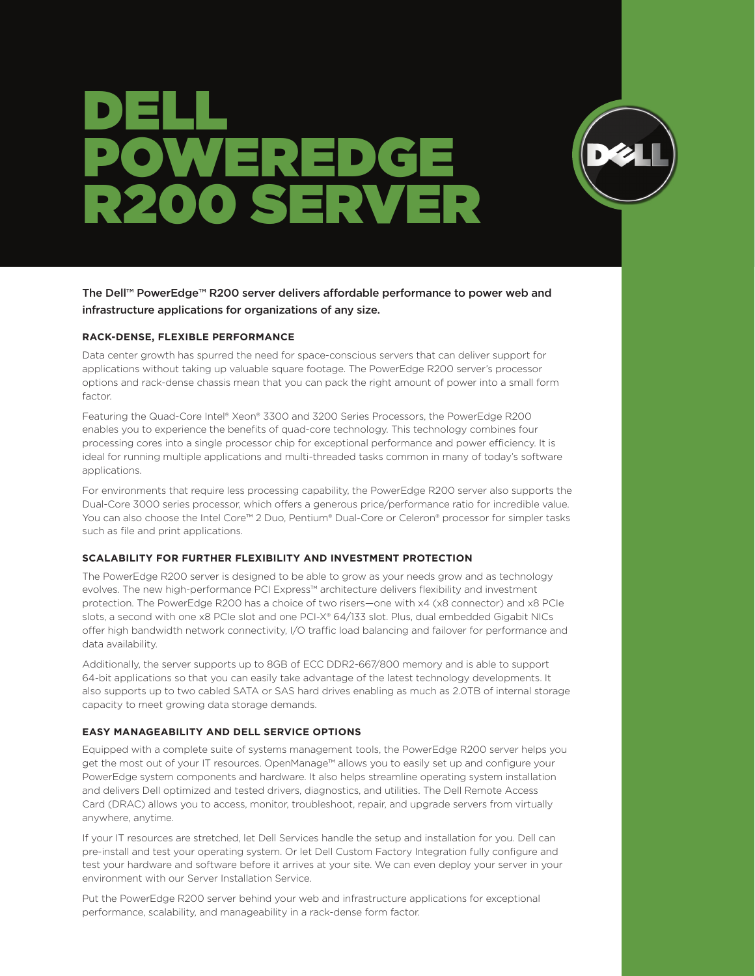# DELL POWEREDGE R200 SERVER



The Dell™ PowerEdge™ R200 server delivers affordable performance to power web and infrastructure applications for organizations of any size.

#### **RACK-DENSE, FLEXIBLE PERFORMANCE**

Data center growth has spurred the need for space-conscious servers that can deliver support for applications without taking up valuable square footage. The PowerEdge R200 server's processor options and rack-dense chassis mean that you can pack the right amount of power into a small form factor.

Featuring the Quad-Core Intel® Xeon® 3300 and 3200 Series Processors, the PowerEdge R200 enables you to experience the benefits of quad-core technology. This technology combines four processing cores into a single processor chip for exceptional performance and power efficiency. It is ideal for running multiple applications and multi-threaded tasks common in many of today's software applications.

For environments that require less processing capability, the PowerEdge R200 server also supports the Dual-Core 3000 series processor, which offers a generous price/performance ratio for incredible value. You can also choose the Intel Core™ 2 Duo, Pentium® Dual-Core or Celeron® processor for simpler tasks such as file and print applications.

### **SCALABILITY FOR FURTHER FLEXIBILITY AND INVESTMENT PROTECTION**

The PowerEdge R200 server is designed to be able to grow as your needs grow and as technology evolves. The new high-performance PCI Express™ architecture delivers flexibility and investment protection. The PowerEdge R200 has a choice of two risers—one with x4 (x8 connector) and x8 PCIe slots, a second with one x8 PCIe slot and one PCI-X® 64/133 slot. Plus, dual embedded Gigabit NICs offer high bandwidth network connectivity, I/O traffic load balancing and failover for performance and data availability.

Additionally, the server supports up to 8GB of ECC DDR2-667/800 memory and is able to support 64-bit applications so that you can easily take advantage of the latest technology developments. It also supports up to two cabled SATA or SAS hard drives enabling as much as 2.0TB of internal storage capacity to meet growing data storage demands.

### **EASY MANAGEABILITY AND DELL SERVICE OPTIONS**

Equipped with a complete suite of systems management tools, the PowerEdge R200 server helps you get the most out of your IT resources. OpenManage™ allows you to easily set up and configure your PowerEdge system components and hardware. It also helps streamline operating system installation and delivers Dell optimized and tested drivers, diagnostics, and utilities. The Dell Remote Access Card (DRAC) allows you to access, monitor, troubleshoot, repair, and upgrade servers from virtually anywhere, anytime.

If your IT resources are stretched, let Dell Services handle the setup and installation for you. Dell can pre-install and test your operating system. Or let Dell Custom Factory Integration fully configure and test your hardware and software before it arrives at your site. We can even deploy your server in your environment with our Server Installation Service.

Put the PowerEdge R200 server behind your web and infrastructure applications for exceptional performance, scalability, and manageability in a rack-dense form factor.